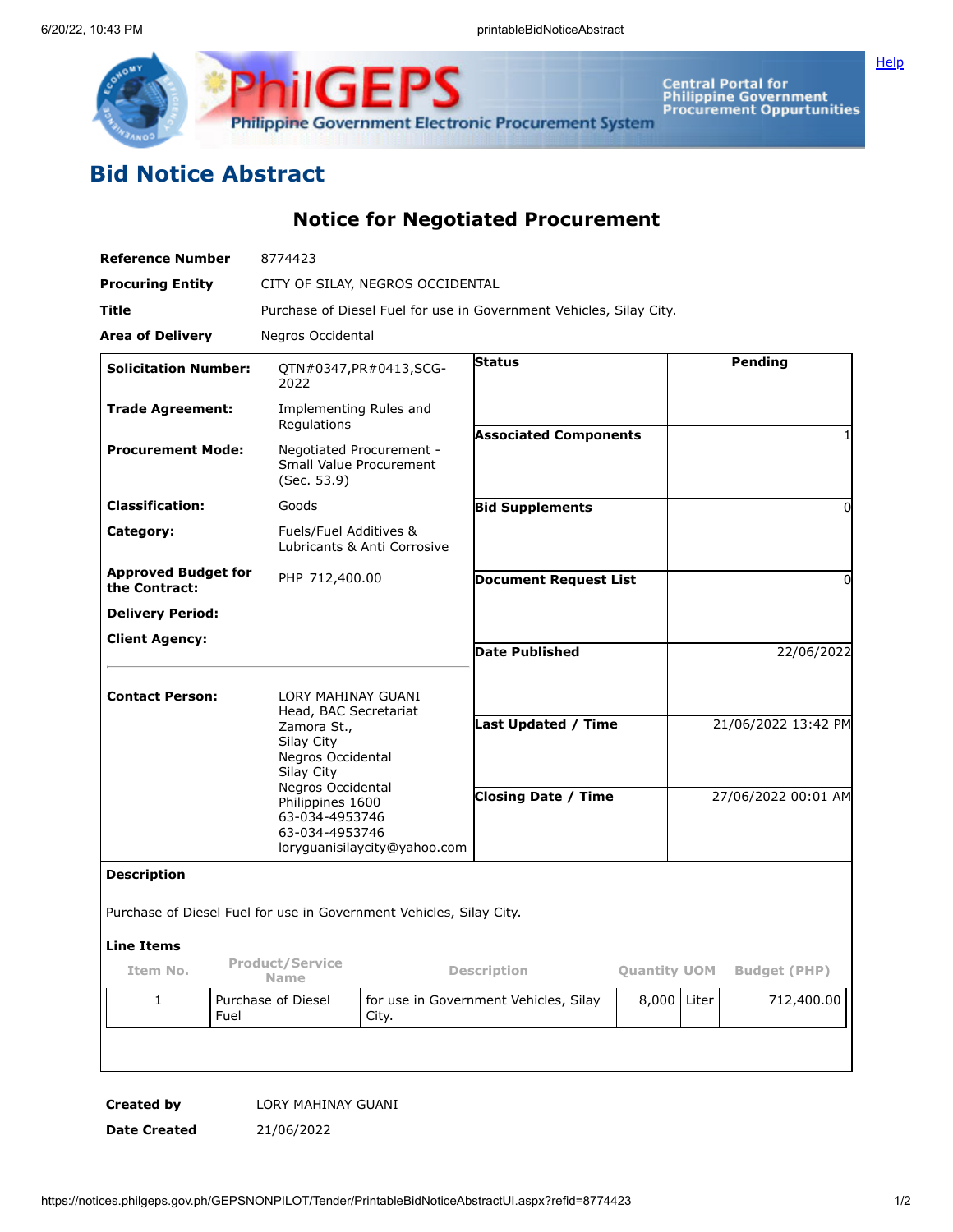

Central Portal for<br>Philippine Government<br>Procurement Oppurtunities

**[Help](javascript:void(window.open()** 

## **Bid Notice Abstract**

**Notice for Negotiated Procurement**

| <b>Reference Number</b>                                                   | 8774423                                                             |                                                                                               |                              |                            |                     |  |
|---------------------------------------------------------------------------|---------------------------------------------------------------------|-----------------------------------------------------------------------------------------------|------------------------------|----------------------------|---------------------|--|
| <b>Procuring Entity</b>                                                   |                                                                     | CITY OF SILAY, NEGROS OCCIDENTAL                                                              |                              |                            |                     |  |
| Title                                                                     |                                                                     | Purchase of Diesel Fuel for use in Government Vehicles, Silay City.                           |                              |                            |                     |  |
| Area of Delivery                                                          | Negros Occidental                                                   |                                                                                               |                              |                            |                     |  |
| <b>Solicitation Number:</b>                                               | 2022                                                                | QTN#0347, PR#0413, SCG-                                                                       | <b>Status</b>                |                            | Pending             |  |
| <b>Trade Agreement:</b>                                                   | Implementing Rules and<br>Regulations                               |                                                                                               | <b>Associated Components</b> |                            |                     |  |
| <b>Procurement Mode:</b>                                                  | Negotiated Procurement -<br>Small Value Procurement<br>(Sec. 53.9)  |                                                                                               |                              |                            |                     |  |
| <b>Classification:</b>                                                    | Goods                                                               |                                                                                               |                              |                            | 0                   |  |
| Category:                                                                 |                                                                     | Fuels/Fuel Additives &<br>Lubricants & Anti Corrosive                                         |                              |                            |                     |  |
| <b>Approved Budget for</b><br>PHP 712,400.00<br>the Contract:             |                                                                     |                                                                                               | <b>Document Request List</b> |                            | 0                   |  |
| <b>Delivery Period:</b>                                                   |                                                                     |                                                                                               |                              |                            |                     |  |
| <b>Client Agency:</b>                                                     |                                                                     |                                                                                               | <b>Date Published</b>        |                            | 22/06/2022          |  |
| <b>Contact Person:</b>                                                    |                                                                     | LORY MAHINAY GUANI<br>Head, BAC Secretariat<br>Zamora St.,<br>Silay City<br>Negros Occidental |                              |                            |                     |  |
|                                                                           | Silay City                                                          |                                                                                               |                              | <b>Last Updated / Time</b> | 21/06/2022 13:42 PM |  |
| Negros Occidental<br>Philippines 1600<br>63-034-4953746<br>63-034-4953746 |                                                                     | <b>Closing Date / Time</b><br>loryguanisilaycity@yahoo.com                                    |                              |                            | 27/06/2022 00:01 AM |  |
| <b>Description</b>                                                        |                                                                     |                                                                                               |                              |                            |                     |  |
|                                                                           | Purchase of Diesel Fuel for use in Government Vehicles, Silay City. |                                                                                               |                              |                            |                     |  |
| <b>Line Items</b>                                                         |                                                                     |                                                                                               |                              |                            |                     |  |
| Item No.                                                                  | <b>Product/Service</b><br><b>Name</b>                               | <b>Description</b>                                                                            |                              | <b>Quantity UOM</b>        | <b>Budget (PHP)</b> |  |
| 1<br>Fuel                                                                 | Purchase of Diesel                                                  | for use in Government Vehicles, Silay<br>City.                                                |                              | 8,000 Liter                | 712,400.00          |  |
|                                                                           |                                                                     |                                                                                               |                              |                            |                     |  |
|                                                                           |                                                                     |                                                                                               |                              |                            |                     |  |

**Created by** LORY MAHINAY GUANI

**Date Created** 21/06/2022